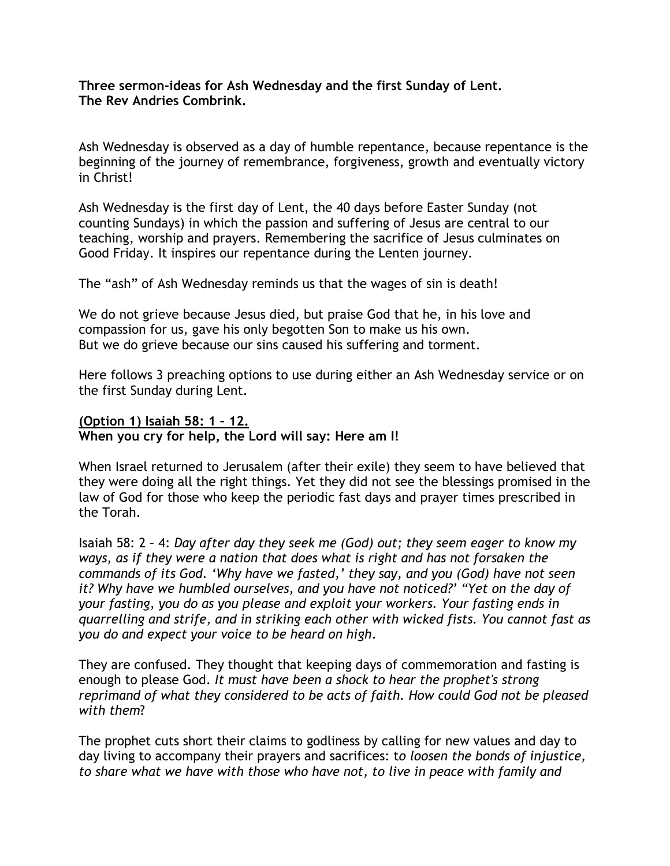**Three sermon-ideas for Ash Wednesday and the first Sunday of Lent. The Rev Andries Combrink.** 

Ash Wednesday is observed as a day of humble repentance, because repentance is the beginning of the journey of remembrance, forgiveness, growth and eventually victory in Christ!

Ash Wednesday is the first day of Lent, the 40 days before Easter Sunday (not counting Sundays) in which the passion and suffering of Jesus are central to our teaching, worship and prayers. Remembering the sacrifice of Jesus culminates on Good Friday. It inspires our repentance during the Lenten journey.

The "ash" of Ash Wednesday reminds us that the wages of sin is death!

We do not grieve because Jesus died, but praise God that he, in his love and compassion for us, gave his only begotten Son to make us his own. But we do grieve because our sins caused his suffering and torment.

Here follows 3 preaching options to use during either an Ash Wednesday service or on the first Sunday during Lent.

**(Option 1) Isaiah 58: 1 – 12. When you cry for help, the Lord will say: Here am I!**

When Israel returned to Jerusalem (after their exile) they seem to have believed that they were doing all the right things. Yet they did not see the blessings promised in the law of God for those who keep the periodic fast days and prayer times prescribed in the Torah.

Isaiah 58: 2 – 4: *Day after day they seek me (God) out; they seem eager to know my ways, as if they were a nation that does what is right and has not forsaken the commands of its God. 'Why have we fasted,' they say, and you (God) have not seen it? Why have we humbled ourselves, and you have not noticed?' "Yet on the day of your fasting, you do as you please and exploit your workers. Your fasting ends in quarrelling and strife, and in striking each other with wicked fists. You cannot fast as you do and expect your voice to be heard on high*.

They are confused. They thought that keeping days of commemoration and fasting is enough to please God. *It must have been a shock to hear the prophet's strong reprimand of what they considered to be acts of faith. How could God not be pleased with them*?

The prophet cuts short their claims to godliness by calling for new values and day to day living to accompany their prayers and sacrifices: t*o loosen the bonds of injustice, to share what we have with those who have not, to live in peace with family and*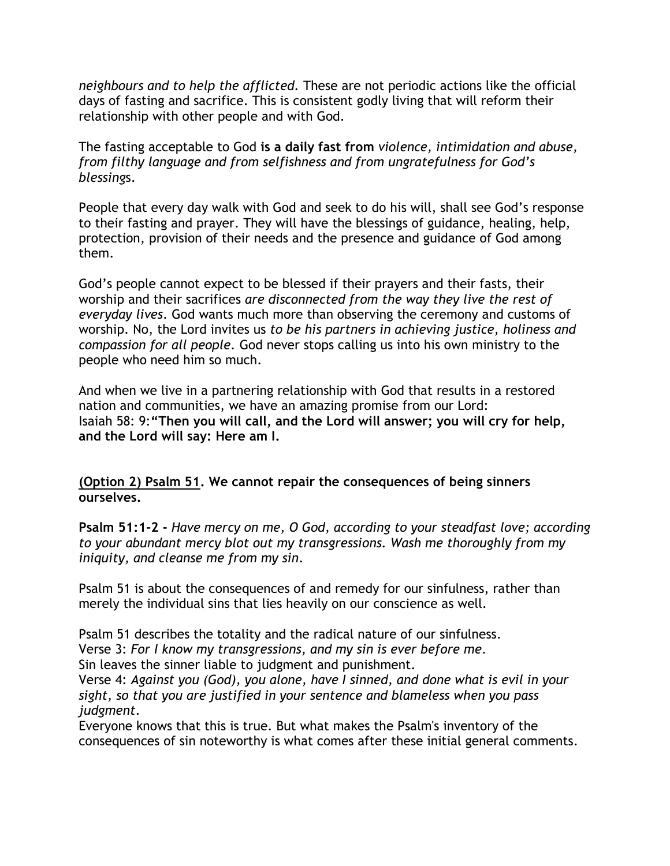*neighbours and to help the afflicted.* These are not periodic actions like the official days of fasting and sacrifice. This is consistent godly living that will reform their relationship with other people and with God.

The fasting acceptable to God **is a daily fast from** *violence, intimidation and abuse, from filthy language and from selfishness and from ungratefulness for God's blessing*s.

People that every day walk with God and seek to do his will, shall see God's response to their fasting and prayer. They will have the blessings of guidance, healing, help, protection, provision of their needs and the presence and guidance of God among them.

God's people cannot expect to be blessed if their prayers and their fasts, their worship and their sacrifices *are disconnected from the way they live the rest of everyday lives*. God wants much more than observing the ceremony and customs of worship. No, the Lord invites us *to be his partners in achieving justice, holiness and compassion for all people.* God never stops calling us into his own ministry to the people who need him so much.

And when we live in a partnering relationship with God that results in a restored nation and communities, we have an amazing promise from our Lord: Isaiah 58: 9:**"Then you will call, and the Lord will answer; you will cry for help, and the Lord will say: Here am I.**

**(Option 2) Psalm 51. We cannot repair the consequences of being sinners ourselves.**

**Psalm 51:1-2 -** *Have mercy on me, O God, according to your steadfast love; according to your abundant mercy blot out my transgressions. Wash me thoroughly from my iniquity, and cleanse me from my sin*.

Psalm 51 is about the consequences of and remedy for our sinfulness, rather than merely the individual sins that lies heavily on our conscience as well.

Psalm 51 describes the totality and the radical nature of our sinfulness.

Verse 3: *For I know my transgressions, and my sin is ever before me*.

Sin leaves the sinner liable to judgment and punishment.

Verse 4: *Against you (God), you alone, have I sinned, and done what is evil in your sight, so that you are justified in your sentence and blameless when you pass judgment*.

Everyone knows that this is true. But what makes the Psalm's inventory of the consequences of sin noteworthy is what comes after these initial general comments.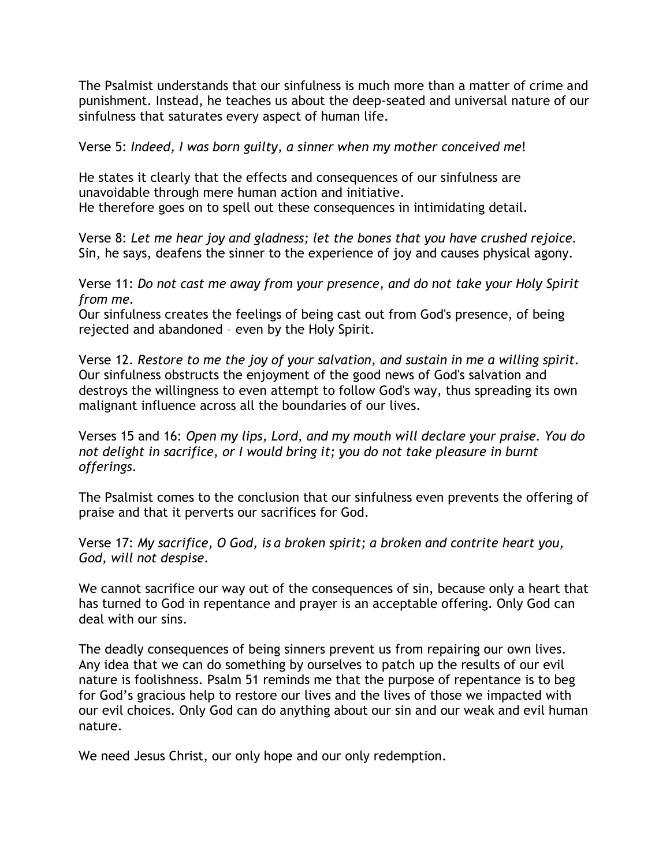The Psalmist understands that our sinfulness is much more than a matter of crime and punishment. Instead, he teaches us about the deep-seated and universal nature of our sinfulness that saturates every aspect of human life.

Verse 5: *Indeed, I was born guilty, a sinner when my mother conceived me*!

He states it clearly that the effects and consequences of our sinfulness are unavoidable through mere human action and initiative. He therefore goes on to spell out these consequences in intimidating detail.

Verse 8: *Let me hear joy and gladness; let the bones that you have crushed rejoice.* Sin, he says, deafens the sinner to the experience of joy and causes physical agony.

Verse 11: *Do not cast me away from your presence, and do not take your Holy Spirit from me.*

Our sinfulness creates the feelings of being cast out from God's presence, of being rejected and abandoned – even by the Holy Spirit.

Verse 12. *Restore to me the joy of your salvation, and sustain in me a willing spirit*. Our sinfulness obstructs the enjoyment of the good news of God's salvation and destroys the willingness to even attempt to follow God's way, thus spreading its own malignant influence across all the boundaries of our lives.

Verses 15 and 16: *Open my lips, Lord, and my mouth will declare your praise. You do not delight in sacrifice, or I would bring it; you do not take pleasure in burnt offerings*.

The Psalmist comes to the conclusion that our sinfulness even prevents the offering of praise and that it perverts our sacrifices for God.

Verse 17: *My sacrifice, O God, is a broken spirit; a broken and contrite heart you, God, will not despise*.

We cannot sacrifice our way out of the consequences of sin, because only a heart that has turned to God in repentance and prayer is an acceptable offering. Only God can deal with our sins.

The deadly consequences of being sinners prevent us from repairing our own lives. Any idea that we can do something by ourselves to patch up the results of our evil nature is foolishness. Psalm 51 reminds me that the purpose of repentance is to beg for God's gracious help to restore our lives and the lives of those we impacted with our evil choices. Only God can do anything about our sin and our weak and evil human nature.

We need Jesus Christ, our only hope and our only redemption.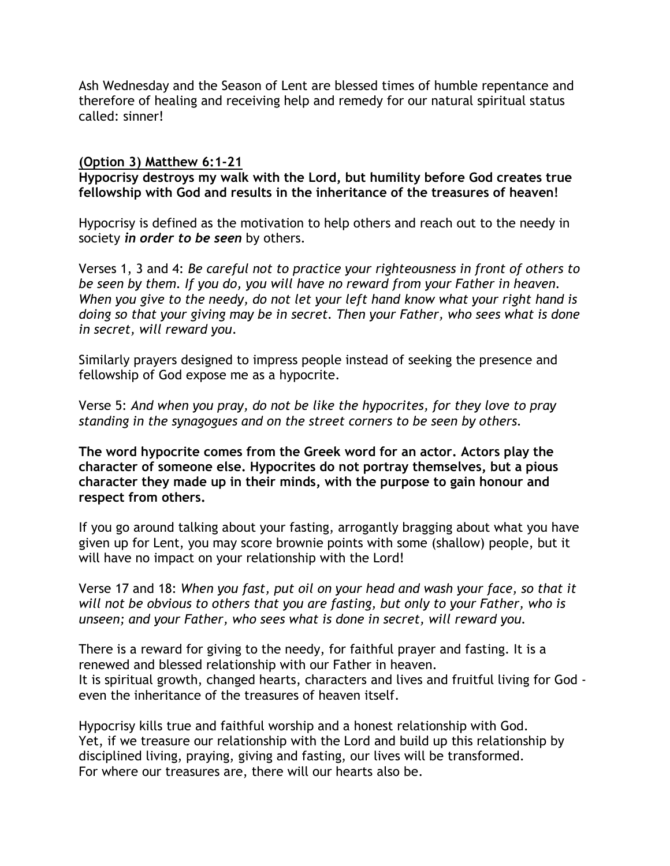Ash Wednesday and the Season of Lent are blessed times of humble repentance and therefore of healing and receiving help and remedy for our natural spiritual status called: sinner!

## **(Option 3) Matthew 6:1-21**

**Hypocrisy destroys my walk with the Lord, but humility before God creates true fellowship with God and results in the inheritance of the treasures of heaven!**

Hypocrisy is defined as the motivation to help others and reach out to the needy in society *in order to be seen* by others.

Verses 1, 3 and 4: *Be careful not to practice your righteousness in front of others to be seen by them. If you do, you will have no reward from your Father in heaven. When you give to the needy, do not let your left hand know what your right hand is doing so that your giving may be in secret. Then your Father, who sees what is done in secret, will reward you*.

Similarly prayers designed to impress people instead of seeking the presence and fellowship of God expose me as a hypocrite.

Verse 5: *And when you pray, do not be like the hypocrites, for they love to pray standing in the synagogues and on the street corners to be seen by others.*

**The word hypocrite comes from the Greek word for an actor. Actors play the character of someone else. Hypocrites do not portray themselves, but a pious character they made up in their minds, with the purpose to gain honour and respect from others.**

If you go around talking about your fasting, arrogantly bragging about what you have given up for Lent, you may score brownie points with some (shallow) people, but it will have no impact on your relationship with the Lord!

Verse 17 and 18: *When you fast, put oil on your head and wash your face, so that it will not be obvious to others that you are fasting, but only to your Father, who is unseen; and your Father, who sees what is done in secret, will reward you.*

There is a reward for giving to the needy, for faithful prayer and fasting. It is a renewed and blessed relationship with our Father in heaven. It is spiritual growth, changed hearts, characters and lives and fruitful living for God even the inheritance of the treasures of heaven itself.

Hypocrisy kills true and faithful worship and a honest relationship with God. Yet, if we treasure our relationship with the Lord and build up this relationship by disciplined living, praying, giving and fasting, our lives will be transformed. For where our treasures are, there will our hearts also be.